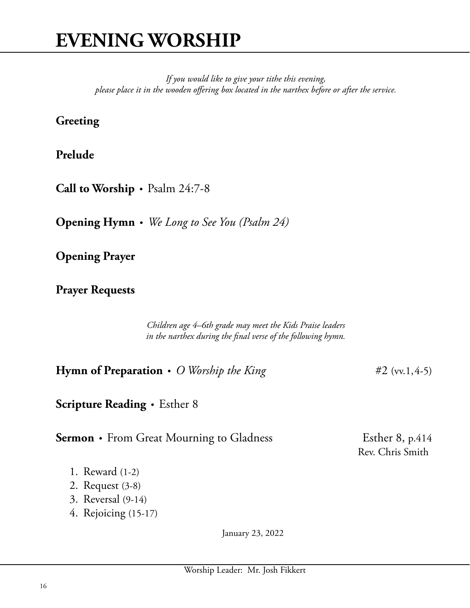*If you would like to give your tithe this evening, please place it in the wooden offering box located in the narthex before or after the service.*

## **Greeting**

**Prelude** • *Title* composer

**Call to Worship** • Psalm 24:7-8

**Opening Hymn** • *We Long to See You (Psalm 24)*

**Opening Prayer**

**Prayer Requests**

*Children age 4–6th grade may meet the Kids Praise leaders in the narthex during the final verse of the following hymn.*

**Hymn of Preparation** • *O Worship the King* #2 (vv.1,4-5)

**Scripture Reading** • Esther 8

**Sermon** • From Great Mourning to Gladness Esther 8, p.414

Rev. Chris Smith

- 1. Reward (1-2)
- 2. Request (3-8)
- 3. Reversal (9-14)
- 4. Rejoicing (15-17)

January 23, 2022